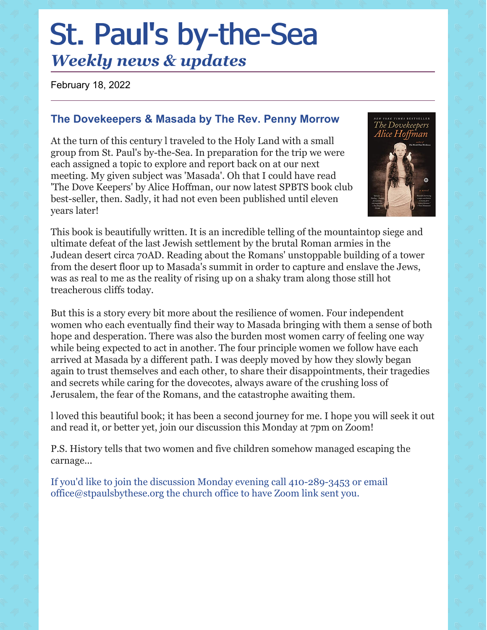# St. Paul's by-the-Sea *Weekly news & updates*

February 18, 2022

# **The Dovekeepers & Masada by The Rev. Penny Morrow**

At the turn of this century l traveled to the Holy Land with a small group from St. Paul's by-the-Sea. In preparation for the trip we were each assigned a topic to explore and report back on at our next meeting. My given subject was 'Masada'. Oh that I could have read 'The Dove Keepers' by Alice Hoffman, our now latest SPBTS book club best-seller, then. Sadly, it had not even been published until eleven years later!



This book is beautifully written. It is an incredible telling of the mountaintop siege and ultimate defeat of the last Jewish settlement by the brutal Roman armies in the Judean desert circa 70AD. Reading about the Romans' unstoppable building of a tower from the desert floor up to Masada's summit in order to capture and enslave the Jews, was as real to me as the reality of rising up on a shaky tram along those still hot treacherous cliffs today.

But this is a story every bit more about the resilience of women. Four independent women who each eventually find their way to Masada bringing with them a sense of both hope and desperation. There was also the burden most women carry of feeling one way while being expected to act in another. The four principle women we follow have each arrived at Masada by a different path. I was deeply moved by how they slowly began again to trust themselves and each other, to share their disappointments, their tragedies and secrets while caring for the dovecotes, always aware of the crushing loss of Jerusalem, the fear of the Romans, and the catastrophe awaiting them.

l loved this beautiful book; it has been a second journey for me. I hope you will seek it out and read it, or better yet, join our discussion this Monday at 7pm on Zoom!

P.S. History tells that two women and five children somehow managed escaping the carnage...

If you'd like to join the discussion Monday evening call 410-289-3453 or email office@stpaulsbythese.org the church office to have Zoom link sent you.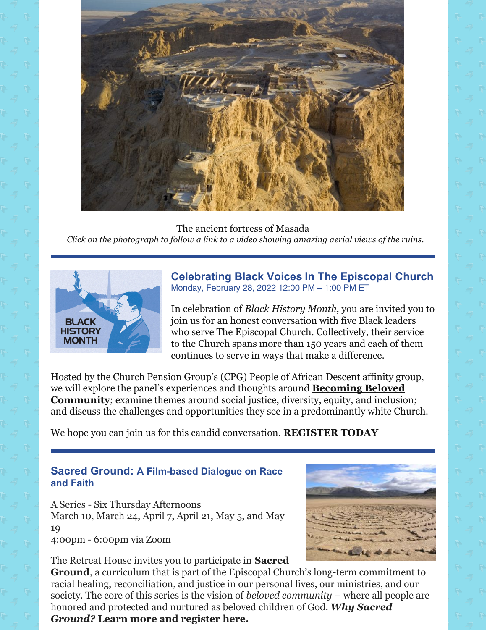

The ancient fortress of Masada *Click on the photograph to follow a link to a video showing amazing aerial views of the ruins.*



**[Celebrating](https://click.reply.cpg.org/?qs=7eb478c5d87dc4718ddc156b37851465f604f4894472f9ca275e6dda077c28cfbb6e05448726b5697a036773ed4e85b94665513f9c2c7e34) Black Voices In The [Episcopal](https://click.reply.cpg.org/?qs=7eb478c5d87dc4718ddc156b37851465f604f4894472f9ca275e6dda077c28cfbb6e05448726b5697a036773ed4e85b94665513f9c2c7e34) Church** Monday, February 28, 2022 12:00 PM – 1:00 PM ET

In celebration of *Black History Month*, you are invited you to join us for an honest conversation with five Black leaders who serve The Episcopal Church. Collectively, their service to the Church spans more than 150 years and each of them continues to serve in ways that make a difference.

Hosted by the Church Pension Group's (CPG) People of African Descent affinity group, we will explore the panel's experiences and thoughts around **Becoming Beloved [Community](https://click.reply.cpg.org/?qs=7eb478c5d87dc471281f8ddb12b84e630413f9ef0466da4b1316ef6cfae5119807fb1ef08afcaa9f1c32face211713df9d6a1c97917d0eab)**; examine themes around social justice, diversity, equity, and inclusion; and discuss the challenges and opportunities they see in a predominantly white Church.

We hope you can join us for this candid conversation. **[REGISTER](https://click.reply.cpg.org/?qs=7eb478c5d87dc47118d30d8bb64a63f359ff9714370231471a80aac222e86375072992118e761a8a5af4478bfee381c9c29e3a490bbcade3) TODAY**

### **Sacred Ground: A Film-based Dialogue on Race and Faith**

A Series - Six Thursday Afternoons March 10, March 24, April 7, April 21, May 5, and May 19 4:00pm - 6:00pm via Zoom



**Ground**, a curriculum that is part of the Episcopal Church's long-term commitment to racial healing, reconciliation, and justice in our personal lives, our ministries, and our society. The core of this series is the vision of *beloved community* – where all people are honored and protected and nurtured as beloved children of God. *Why Sacred Ground?* **Learn more and [register](https://r20.rs6.net/tn.jsp?f=001L_2hKSPacO5NOzx3KS4Zc23rcJ1CNYfIu0oEBV-Czxx7qkZz8OelyqA9YRyPNBOe2JVrLV1Nhbg2xnq6AoMbh_u04frDmwK2xbuw9XrUv-_otZiZ7S-SB-wthSM-Kls9CZL9KQOAseivT_B6lr2h4w==&c=VU3ELLfMP3BJKk4IUH6UVevOBVpCUQdbtHrALwKp_S64BvDR_2dLtA==&ch=hb05yjpcDSnUB8P1db69z8qPnJkF9w4RuJ3s45bIWzvEziG6NUFtpA==) here.**

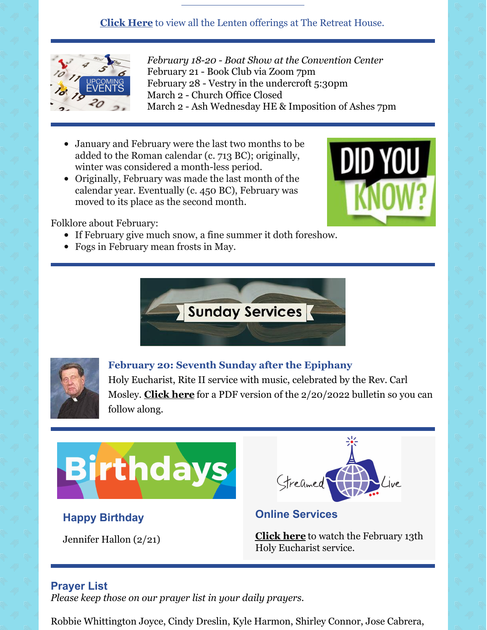# **[Click](https://myemail.constantcontact.com/Lenten-Retreats-and-Series.html?soid=1129563090979&aid=rniycmCpJr8) Here** to view all the Lenten offerings at The Retreat House.



*February 18-20 - Boat Show at the Convention Center* February 21 - Book Club via Zoom 7pm February 28 - Vestry in the undercroft 5:30pm March 2 - Church Office Closed March 2 - Ash Wednesday HE & Imposition of Ashes 7pm

- January and February were the last two months to be added to the Roman calendar (c. 713 BC); originally, winter was considered a month-less period.
- Originally, February was made the last month of the calendar year. Eventually (c. 450 BC), February was moved to its place as the second month.



Folklore about February:

- If February give much snow, a fine summer it doth foreshow.
- Fogs in February mean frosts in May.





**February 20: Seventh Sunday after the Epiphany**

Holy Eucharist, Rite II service with music, celebrated by the Rev. Carl Mosley. **[Click](https://files.constantcontact.com/2d81fdc6201/130b468b-ee22-456c-99c3-a9883db2149f.pdf?rdr=true) here** for a PDF version of the 2/20/2022 bulletin so you can follow along.



# **Happy Birthday**

Jennifer Hallon (2/21)



**Online Services**

**[Click](https://www.facebook.com/StPaulsByTheSeaEpsicopalChurch/videos/1907002919689449) here** to watch the February 13th Holy Eucharist service.

# **Prayer List**

*Please keep those on our prayer list in your daily prayers.*

Robbie Whittington Joyce, Cindy Dreslin, Kyle Harmon, Shirley Connor, Jose Cabrera,